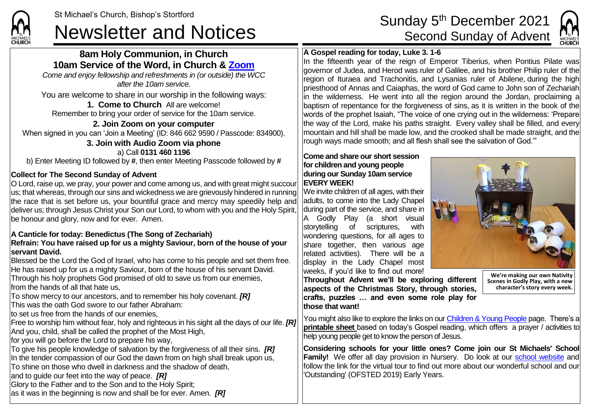### **8am Holy Communion, in Church 10am Service of the Word, in Church & [Zoom](https://zoom.us/)**

*Come and enjoy fellowship and refreshments in (or outside) the WCC after the 10am service.*

You are welcome to share in our worship in the following ways:

**1. Come to Church** All are welcome! Remember to bring your order of service for the 10am service.

**2. Join Zoom on your computer** When signed in you can 'Join a Meeting' (ID: 846 662 9590 / Passcode: 834900). **3. Join with Audio Zoom via phone**

a) Call **0131 460 1196** b) Enter Meeting ID followed by **#**, then enter Meeting Passcode followed by **#**

#### **Collect for The Second Sunday of Advent**

**CHIIDCL** 

O Lord, raise up, we pray, your power and come among us, and with great might succour us; that whereas, through our sins and wickedness we are grievously hindered in running the race that is set before us, your bountiful grace and mercy may speedily help and deliver us; through Jesus Christ your Son our Lord, to whom with you and the Holy Spirit, be honour and glory, now and for ever. Amen.

#### **A Canticle for today: Benedictus (The Song of Zechariah)**

#### **Refrain: You have raised up for us a mighty Saviour, born of the house of your servant David.**

Blessed be the Lord the God of Israel, who has come to his people and set them free. He has raised up for us a mighty Saviour, born of the house of his servant David. Through his holy prophets God promised of old to save us from our enemies,

from the hands of all that hate us,

To show mercy to our ancestors, and to remember his holy covenant. *[R]*

This was the oath God swore to our father Abraham:

to set us free from the hands of our enemies,

Free to worship him without fear, holy and righteous in his sight all the days of our life. *[R]* And you, child, shall be called the prophet of the Most High,

for you will go before the Lord to prepare his way,

To give his people knowledge of salvation by the forgiveness of all their sins. *[R]* In the tender compassion of our God the dawn from on high shall break upon us, To shine on those who dwell in darkness and the shadow of death,

and to quide our feet into the way of peace. *[R]* 

Glory to the Father and to the Son and to the Holy Spirit;

as it was in the beginning is now and shall be for ever. Amen. *[R]*

# St Michael's Church, Bishop's Stortford<br>Newsletter and Notices Sunday 5<sup>th</sup> December 2021



#### **A Gospel reading for today, Luke 3. 1-6**

In the fifteenth year of the reign of Emperor Tiberius, when Pontius Pilate was governor of Judea, and Herod was ruler of Galilee, and his brother Philip ruler of the region of Ituraea and Trachonitis, and Lysanias ruler of Abilene, during the high priesthood of Annas and Caiaphas, the word of God came to John son of Zechariah in the wilderness. He went into all the region around the Jordan, proclaiming a baptism of repentance for the forgiveness of sins, as it is written in the book of the words of the prophet Isaiah, "The voice of one crying out in the wilderness: 'Prepare the way of the Lord, make his paths straight. Every valley shall be filled, and every mountain and hill shall be made low, and the crooked shall be made straight, and the rough ways made smooth; and all flesh shall see the salvation of God.'"

#### **Come and share our short session for children and young people during our Sunday 10am service EVERY WEEK!**

We invite children of all ages, with their adults, to come into the Lady Chapel during part of the service, and share in A Godly Play (a short visual storytelling of scriptures, with wondering questions, for all ages to share together, then various age related activities). There will be a display in the Lady Chapel most weeks, if you'd like to find out more!



**Throughout Advent we'll be exploring different aspects of the Christmas Story, through stories, crafts, puzzles … and even some role play for those that want!**

**We're making our own Nativity Scenes in Godly Play, with a new character's story every week.**

You might also like to explore the links on our [Children & Young People](https://saintmichaelweb.org.uk/Groups/310496/Children_and_Young.aspx) page. There's a **[printable sheet](https://saintmichaelweb.org.uk/Groups/310496/Children_and_Young.aspx)** based on today's Gospel reading, which offers a prayer / activities to help young people get to know the person of Jesus.

**Considering schools for your little ones? Come join our St Michaels' School Family!** We offer all day provision in Nursery. Do look at our [school website](https://www.stmichaelsjmi.herts.sch.uk/) and follow the link for the virtual tour to find out more about our wonderful school and our 'Outstanding' (OFSTED 2019) Early Years.